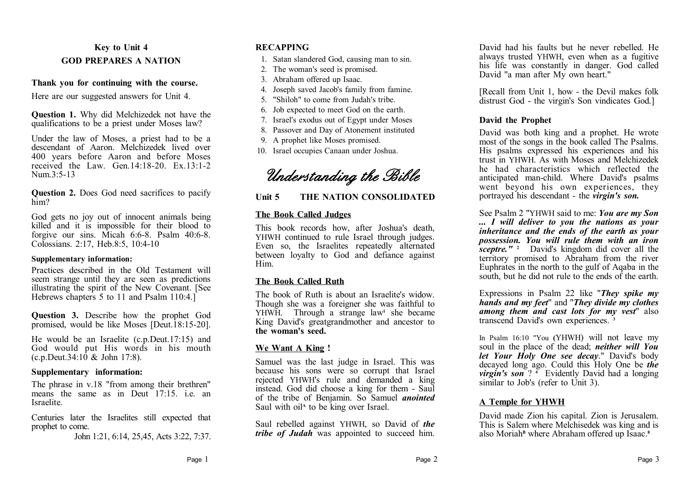# **Key to Unit 4 GOD PREPARES A NATION**

#### **Thank you for continuing with the course.**

Here are our suggested answers for Unit 4.

**Question 1.** Why did Melchizedek not have the qualifications to be a priest under Moses law?

Under the law of Moses, a priest had to be a descendant of Aaron. Melchizedek lived over 400 years before Aaron and before Moses received the Law. Gen.14:18-20. Ex.13:1-2 Num  $3.5-13$ 

#### **Question 2.** Does God need sacrifices to pacify him?

God gets no joy out of innocent animals being killed and it is impossible for their blood to forgive our sins. Micah 6:6-8. Psalm 40:6-8. Colossians. 2:17, Heb.8:5, 10:4-10

#### **Supplementary information:**

Practices described in the Old Testament will seem strange until they are seen as predictions illustrating the spirit of the New Covenant. [See Hebrews chapters 5 to 11 and Psalm 110:4.1

**Question 3.** Describe how the prophet God promised, would be like Moses [Deut.18:15-20].

He would be an Israelite (c.p.Deut.17:15) and God would put His words in his mouth  $(c.p.Deut.34:10 \& John 17:8)$ .

# **Supplementary information:**

The phrase in v.18 "from among their brethren" means the same as in Deut 17:15. i.e. an Israelite.

Centuries later the Israelites still expected that prophet to come.

John 1:21, 6:14, 25,45, Acts 3:22, 7:37.

# **RECAPPING**

- 1. Satan slandered God, causing man to sin.
- 2. The woman's seed is promised.
- 3. Abraham offered up Isaac.
- 4. Joseph saved Jacob's family from famine.
- 5. "Shiloh" to come from Judah's tribe.
- 6. Job expected to meet God on the earth.
- 7. Israel's exodus out of Egypt under Moses
- 8. Passover and Day of Atonement instituted
- 9. A prophet like Moses promised.
- 10. Israel occupies Canaan under Joshua.

*Understanding the Bible*

# **Unit 5 THE NATION CONSOLIDATED**

# **The Book Called Judges**

This book records how, after Joshua's death, YHWH continued to rule Israel through judges. Even so, the Israelites repeatedly alternated between loyalty to God and defiance against Him.

# **The Book Called Ruth**

The book of Ruth is about an Israelite's widow. Though she was a foreigner she was faithful to YHWH. Through a strange law**<sup>1</sup>** she became King David's greatgrandmother and ancestor to **the woman's seed.**

# **We Want A King !**

Samuel was the last judge in Israel. This was because his sons were so corrupt that Israel rejected YHWH's rule and demanded a king instead. God did choose a king for them - Saul of the tribe of Benjamin. So Samuel *anointed* Saul with oil<sup>A</sup> to be king over Israel.

Saul rebelled against YHWH, so David of *the tribe of Judah* was appointed to succeed him.

David had his faults but he never rebelled. He always trusted YHWH, even when as a fugitive his life was constantly in danger. God called David "a man after My own heart."

[Recall from Unit 1, how - the Devil makes folk distrust God - the virgin's Son vindicates God.]

# **David the Prophet**

David was both king and a prophet. He wrote most of the songs in the book called The Psalms. His psalms expressed his experiences and his trust in YHWH. As with Moses and Melchizedek he had characteristics which reflected the anticipated man-child. Where David's psalms went beyond his own experiences, they portrayed his descendant - the *virgin's son.*

See Psalm 2 "YHWH said to me: *You are my Son ... I will deliver to you the nations as your inheritance and the ends of the earth as your possession. You will rule them with an iron sceptre."* **<sup>2</sup>** David's kingdom did cover all the territory promised to Abraham from the river Euphrates in the north to the gulf of Aqaba in the south, but he did not rule to the ends of the earth.

Expressions in Psalm 22 like "*They spike my hands and my feet*" and "*They divide my clothes among them and cast lots for my vest*" also transcend David's own experiences. **<sup>3</sup>**

In Psalm 16:10 "You **(**YHWH) will not leave my soul in the place of the dead; *neither will You let Your Holy One see decay*." David's body decayed long ago. Could this Holy One be *the virgin's son* ? **<sup>4</sup>** Evidently David had a longing similar to Job's (refer to Unit 3).

# **A Temple for YHWH**

David made Zion his capital. Zion is Jerusalem. This is Salem where Melchisedek was king and is also Moriah<sup>B</sup> where Abraham offered up Isaac.<sup>8</sup>